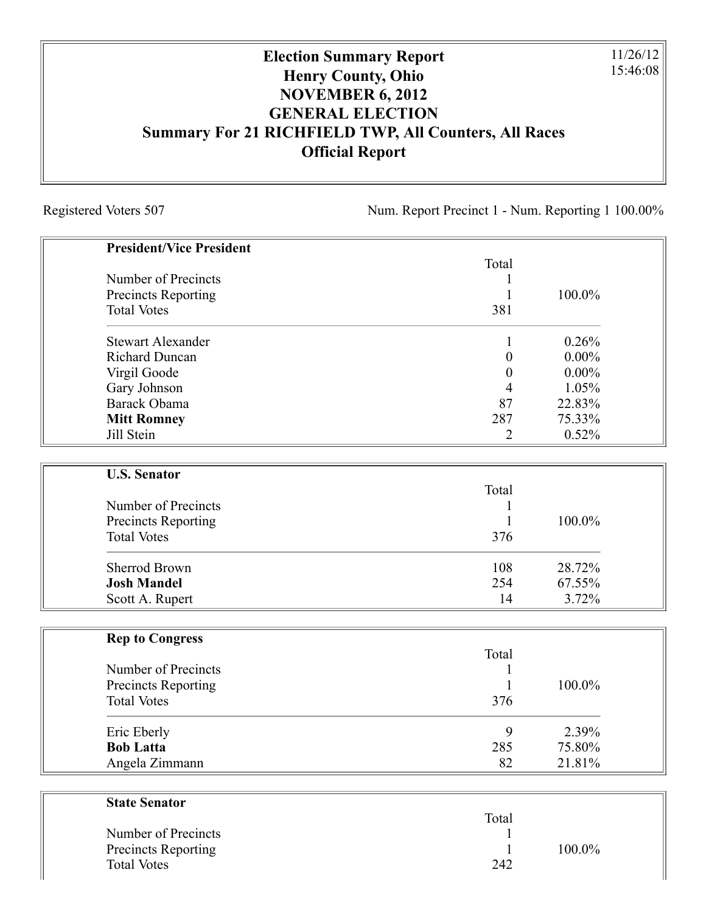## **Election Summary Report Henry County, Ohio NOVEMBER 6, 2012 GENERAL ELECTION Summary For 21 RICHFIELD TWP, All Counters, All Races Official Report**

Registered Voters 507 Num. Report Precinct 1 - Num. Reporting 1 100.00%

11/26/12 15:46:08

| <b>President/Vice President</b> |                  |          |
|---------------------------------|------------------|----------|
|                                 | Total            |          |
| Number of Precincts             | 1                |          |
| <b>Precincts Reporting</b>      | $\mathbf{1}$     | 100.0%   |
| <b>Total Votes</b>              | 381              |          |
| <b>Stewart Alexander</b>        | 1                | 0.26%    |
| <b>Richard Duncan</b>           | $\boldsymbol{0}$ | $0.00\%$ |
| Virgil Goode                    | $\boldsymbol{0}$ | $0.00\%$ |
| Gary Johnson                    | 4                | 1.05%    |
| Barack Obama                    | 87               | 22.83%   |
| <b>Mitt Romney</b>              | 287              | 75.33%   |
| Jill Stein                      | $\overline{2}$   | 0.52%    |
| <b>U.S. Senator</b>             |                  |          |
|                                 | Total            |          |
| Number of Precincts             | 1                |          |
| <b>Precincts Reporting</b>      | 1                | 100.0%   |
| <b>Total Votes</b>              | 376              |          |
| <b>Sherrod Brown</b>            | 108              | 28.72%   |
| <b>Josh Mandel</b>              | 254              | 67.55%   |
| Scott A. Rupert                 | 14               | 3.72%    |
| <b>Rep to Congress</b>          |                  |          |
|                                 | Total            |          |
| Number of Precincts             | 1                |          |
| <b>Precincts Reporting</b>      | $\mathbf{1}$     | 100.0%   |
| <b>Total Votes</b>              | 376              |          |
| Eric Eberly                     | 9                | 2.39%    |
| <b>Bob Latta</b>                | 285              | 75.80%   |
| Angela Zimmann                  | 82               | 21.81%   |
| <b>State Senator</b>            |                  |          |
|                                 | Total            |          |

| $100.0\%$<br>Precincts Reporting<br><b>Total Votes</b><br>242 | Number of Precincts |  |  |  |
|---------------------------------------------------------------|---------------------|--|--|--|
|---------------------------------------------------------------|---------------------|--|--|--|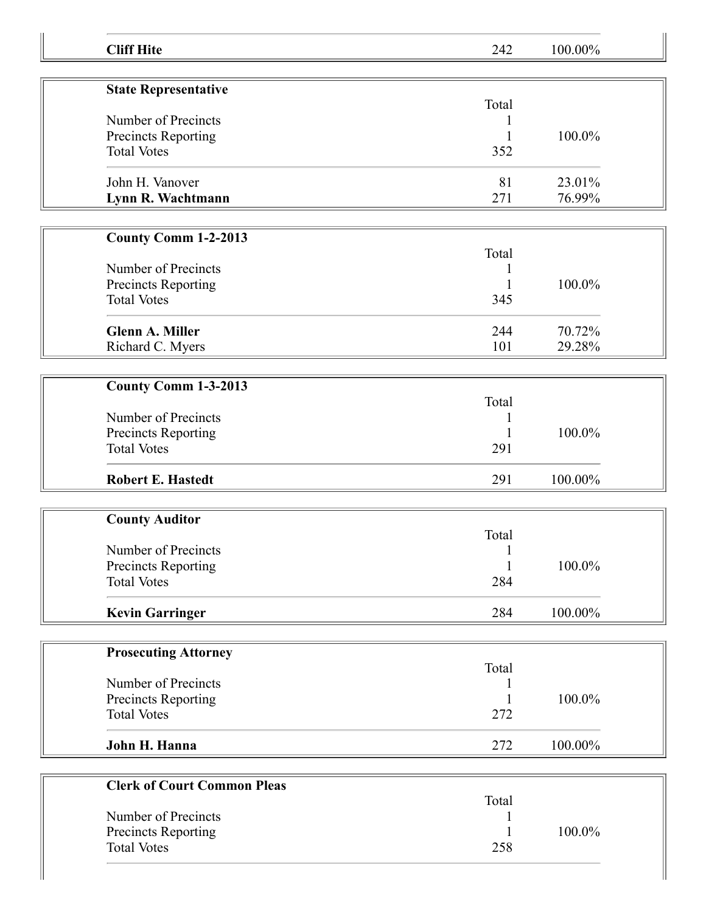| <b>Cliff Hite</b>                         | 242          | 100.00% |  |
|-------------------------------------------|--------------|---------|--|
|                                           |              |         |  |
| <b>State Representative</b>               | Total        |         |  |
| Number of Precincts                       |              |         |  |
| Precincts Reporting                       | 1            | 100.0%  |  |
| <b>Total Votes</b>                        | 352          |         |  |
| John H. Vanover                           | 81           | 23.01%  |  |
| Lynn R. Wachtmann                         | 271          | 76.99%  |  |
| <b>County Comm 1-2-2013</b>               |              |         |  |
|                                           | Total        |         |  |
| Number of Precincts                       | 1            |         |  |
| Precincts Reporting                       | 1            | 100.0%  |  |
| <b>Total Votes</b>                        | 345          |         |  |
| <b>Glenn A. Miller</b>                    | 244          | 70.72%  |  |
| Richard C. Myers                          | 101          | 29.28%  |  |
|                                           |              |         |  |
| County Comm 1-3-2013                      |              |         |  |
| Number of Precincts                       | Total        |         |  |
| Precincts Reporting                       | 1            | 100.0%  |  |
| <b>Total Votes</b>                        | 291          |         |  |
|                                           |              |         |  |
| <b>Robert E. Hastedt</b>                  | 291          | 100.00% |  |
|                                           |              |         |  |
| <b>County Auditor</b>                     | Total        |         |  |
| Number of Precincts                       | $\mathbf{1}$ |         |  |
| Precincts Reporting                       | 1            | 100.0%  |  |
| <b>Total Votes</b>                        | 284          |         |  |
| <b>Kevin Garringer</b>                    | 284          | 100.00% |  |
|                                           |              |         |  |
| <b>Prosecuting Attorney</b>               |              |         |  |
| Number of Precincts                       | Total        |         |  |
|                                           |              | 100.0%  |  |
| Precincts Reporting<br><b>Total Votes</b> | 272          |         |  |
|                                           |              |         |  |
| John H. Hanna                             | 272          | 100.00% |  |
|                                           |              |         |  |
| <b>Clerk of Court Common Pleas</b>        | Total        |         |  |
| Number of Precincts                       | 1            |         |  |
| Precincts Reporting                       |              | 100.0%  |  |
| <b>Total Votes</b>                        | 258          |         |  |
|                                           |              |         |  |
|                                           |              |         |  |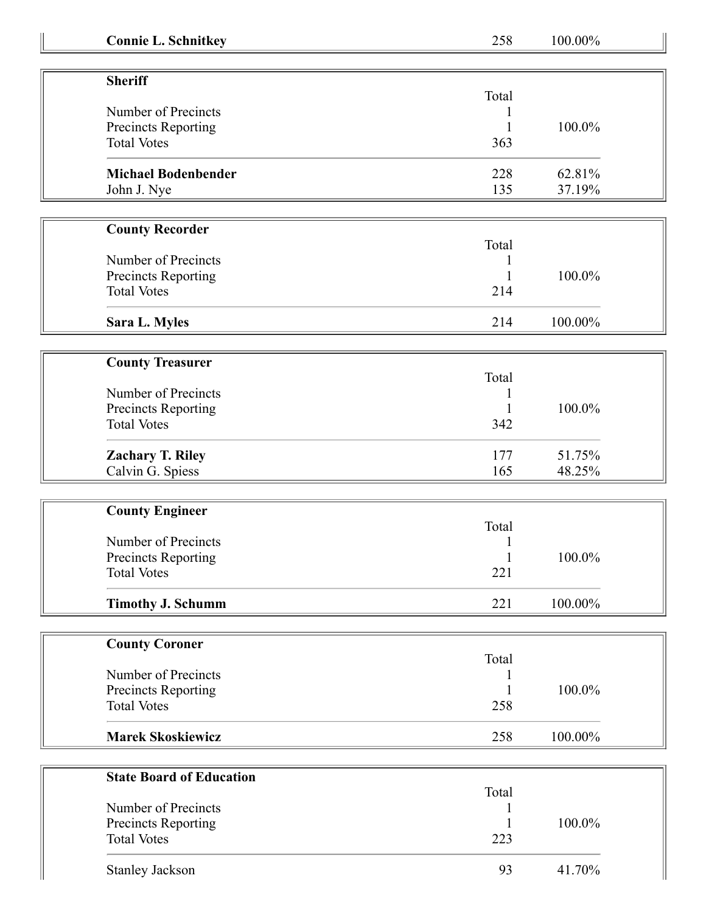| <b>Connie L. Schnitkey</b>                       | 258                 | 100.00% |  |
|--------------------------------------------------|---------------------|---------|--|
|                                                  |                     |         |  |
| <b>Sheriff</b>                                   |                     |         |  |
|                                                  | Total               |         |  |
| Number of Precincts                              |                     |         |  |
| Precincts Reporting                              |                     | 100.0%  |  |
| <b>Total Votes</b>                               | 363                 |         |  |
| <b>Michael Bodenbender</b>                       | 228                 | 62.81%  |  |
| John J. Nye                                      | 135                 | 37.19%  |  |
|                                                  |                     |         |  |
| <b>County Recorder</b>                           |                     |         |  |
|                                                  | Total               |         |  |
| Number of Precincts                              |                     |         |  |
| Precincts Reporting<br><b>Total Votes</b>        | 214                 | 100.0%  |  |
|                                                  |                     |         |  |
| Sara L. Myles                                    | 214                 | 100.00% |  |
|                                                  |                     |         |  |
| <b>County Treasurer</b>                          |                     |         |  |
|                                                  | Total               |         |  |
| Number of Precincts                              |                     |         |  |
| Precincts Reporting                              |                     | 100.0%  |  |
| <b>Total Votes</b>                               | 342                 |         |  |
| <b>Zachary T. Riley</b>                          | 177                 | 51.75%  |  |
| Calvin G. Spiess                                 | 165                 | 48.25%  |  |
|                                                  |                     |         |  |
| <b>County Engineer</b>                           |                     |         |  |
|                                                  | Total               |         |  |
| Number of Precincts                              |                     | 100.0%  |  |
| <b>Precincts Reporting</b><br><b>Total Votes</b> | $\mathbf{1}$<br>221 |         |  |
|                                                  |                     |         |  |
| <b>Timothy J. Schumm</b>                         | 221                 | 100.00% |  |
|                                                  |                     |         |  |
| <b>County Coroner</b>                            |                     |         |  |
|                                                  | Total               |         |  |
| Number of Precincts                              |                     |         |  |
| Precincts Reporting                              |                     | 100.0%  |  |
| <b>Total Votes</b>                               | 258                 |         |  |
| <b>Marek Skoskiewicz</b>                         | 258                 | 100.00% |  |
|                                                  |                     |         |  |
| <b>State Board of Education</b>                  |                     |         |  |
|                                                  | Total               |         |  |
| Number of Precincts                              |                     |         |  |
| Precincts Reporting                              |                     | 100.0%  |  |
| <b>Total Votes</b>                               | 223                 |         |  |
| <b>Stanley Jackson</b>                           | 93                  | 41.70%  |  |
|                                                  |                     |         |  |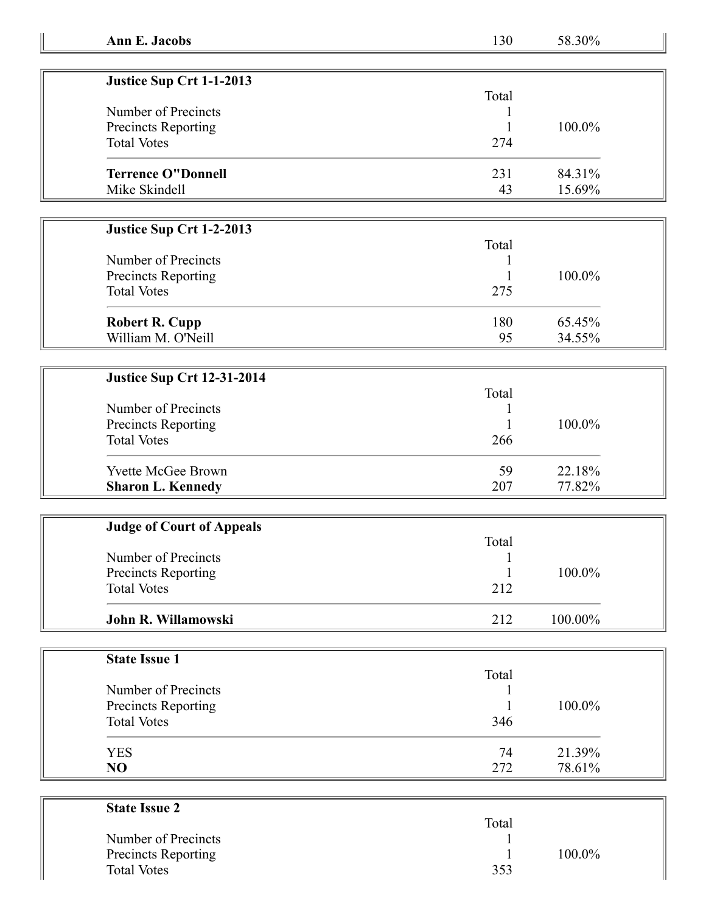| Justice Sup Crt 1-1-2013  |       |           |
|---------------------------|-------|-----------|
|                           | Total |           |
| Number of Precincts       |       |           |
| Precincts Reporting       |       | $100.0\%$ |
| <b>Total Votes</b>        | 274   |           |
| <b>Terrence O"Donnell</b> | 231   | 84.31%    |
| Mike Skindell             | 43    | 15.69%    |

## **Justice Sup Crt 1-2-2013**

| Number of Precincts   | Total | 100.0% |
|-----------------------|-------|--------|
| Precincts Reporting   |       |        |
| <b>Total Votes</b>    | 275   |        |
| <b>Robert R. Cupp</b> | 180   | 65.45% |
| William M. O'Neill    | 95    | 34.55% |

## **Justice Sup Crt 12-31-2014**

| Number of Precincts<br><b>Precincts Reporting</b><br><b>Total Votes</b> | Total<br>266 | $100.0\%$ |
|-------------------------------------------------------------------------|--------------|-----------|
| <b>Yvette McGee Brown</b>                                               | 59           | 22.18%    |
| <b>Sharon L. Kennedy</b>                                                | 207          | 77.82%    |

| <b>Judge of Court of Appeals</b> |       |            |
|----------------------------------|-------|------------|
|                                  | Total |            |
| Number of Precincts              |       |            |
| <b>Precincts Reporting</b>       |       | 100.0%     |
| <b>Total Votes</b>               | 212   |            |
| John R. Willamowski              | 212   | $100.00\%$ |

| <b>State Issue 1</b> |       |        |
|----------------------|-------|--------|
|                      | Total |        |
| Number of Precincts  |       |        |
| Precincts Reporting  |       | 100.0% |
| <b>Total Votes</b>   | 346   |        |
| <b>YES</b>           | 74    | 21.39% |
| NO                   | 272   | 78.61% |

| <b>State Issue 2</b>       |       |        |
|----------------------------|-------|--------|
|                            | Total |        |
| Number of Precincts        |       |        |
| <b>Precincts Reporting</b> |       | 100.0% |
| <b>Total Votes</b>         | 353   |        |